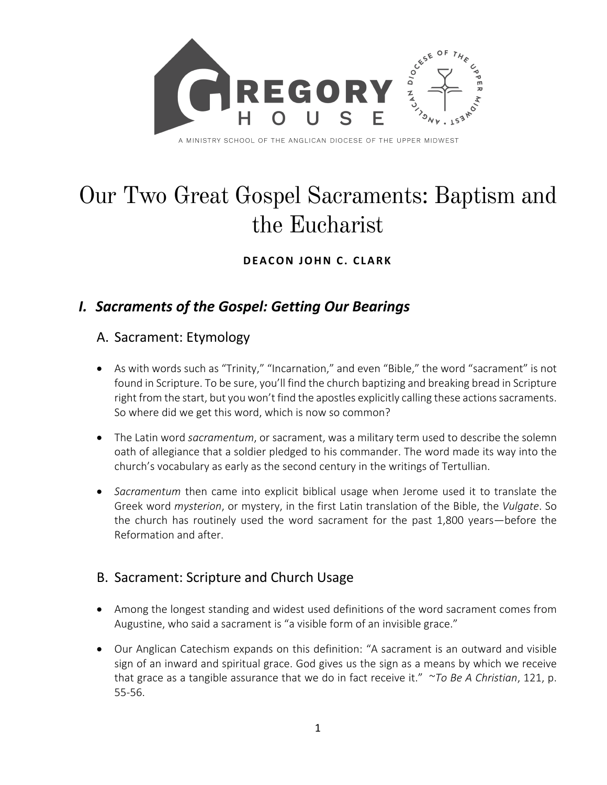

# Our Two Great Gospel Sacraments: Baptism and the Eucharist

#### **DEACON JOHN C. CLARK**

# *I. Sacraments of the Gospel: Getting Our Bearings*

#### A. Sacrament: Etymology

- As with words such as "Trinity," "Incarnation," and even "Bible," the word "sacrament" is not found in Scripture. To be sure, you'll find the church baptizing and breaking bread in Scripture right from the start, but you won't find the apostles explicitly calling these actions sacraments. So where did we get this word, which is now so common?
- The Latin word *sacramentum*, or sacrament, was a military term used to describe the solemn oath of allegiance that a soldier pledged to his commander. The word made its way into the church's vocabulary as early as the second century in the writings of Tertullian.
- *Sacramentum* then came into explicit biblical usage when Jerome used it to translate the Greek word *mysterion*, or mystery, in the first Latin translation of the Bible, the *Vulgate*. So the church has routinely used the word sacrament for the past 1,800 years—before the Reformation and after.

#### B. Sacrament: Scripture and Church Usage

- Among the longest standing and widest used definitions of the word sacrament comes from Augustine, who said a sacrament is "a visible form of an invisible grace."
- Our Anglican Catechism expands on this definition: "A sacrament is an outward and visible sign of an inward and spiritual grace. God gives us the sign as a means by which we receive that grace as a tangible assurance that we do in fact receive it." ~*To Be A Christian*, 121, p. 55-56.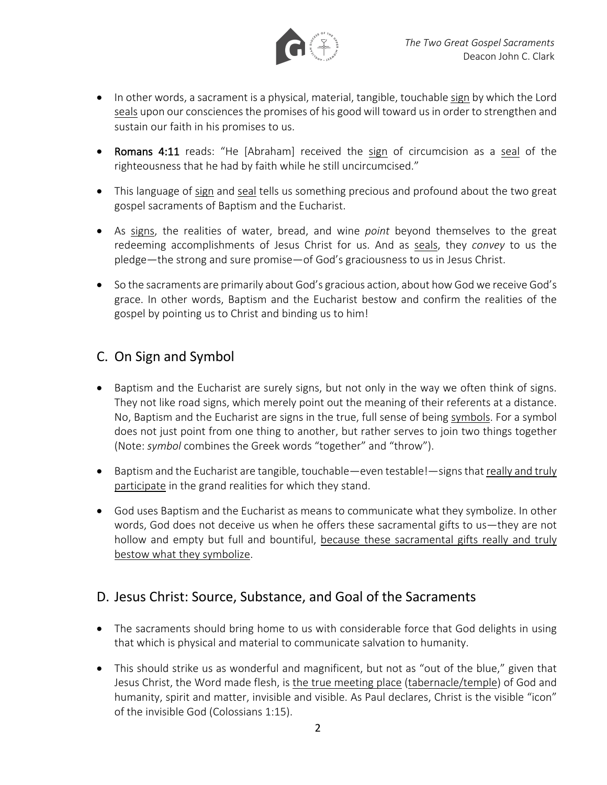

- In other words, a sacrament is a physical, material, tangible, touchable sign by which the Lord seals upon our consciences the promises of his good will toward us in order to strengthen and sustain our faith in his promises to us.
- Romans 4:11 reads: "He [Abraham] received the sign of circumcision as a seal of the righteousness that he had by faith while he still uncircumcised."
- This language of sign and seal tells us something precious and profound about the two great gospel sacraments of Baptism and the Eucharist.
- As signs, the realities of water, bread, and wine *point* beyond themselves to the great redeeming accomplishments of Jesus Christ for us. And as seals, they *convey* to us the pledge—the strong and sure promise—of God's graciousness to us in Jesus Christ.
- So the sacraments are primarily about God's gracious action, about how God we receive God's grace. In other words, Baptism and the Eucharist bestow and confirm the realities of the gospel by pointing us to Christ and binding us to him!

#### C. On Sign and Symbol

- Baptism and the Eucharist are surely signs, but not only in the way we often think of signs. They not like road signs, which merely point out the meaning of their referents at a distance. No, Baptism and the Eucharist are signs in the true, full sense of being symbols. For a symbol does not just point from one thing to another, but rather serves to join two things together (Note: *symbol* combines the Greek words "together" and "throw").
- Baptism and the Eucharist are tangible, touchable—even testable!—signs that really and truly participate in the grand realities for which they stand.
- God uses Baptism and the Eucharist as means to communicate what they symbolize. In other words, God does not deceive us when he offers these sacramental gifts to us—they are not hollow and empty but full and bountiful, because these sacramental gifts really and truly bestow what they symbolize.

#### D. Jesus Christ: Source, Substance, and Goal of the Sacraments

- The sacraments should bring home to us with considerable force that God delights in using that which is physical and material to communicate salvation to humanity.
- This should strike us as wonderful and magnificent, but not as "out of the blue," given that Jesus Christ, the Word made flesh, is the true meeting place (tabernacle/temple) of God and humanity, spirit and matter, invisible and visible. As Paul declares, Christ is the visible "icon" of the invisible God (Colossians 1:15).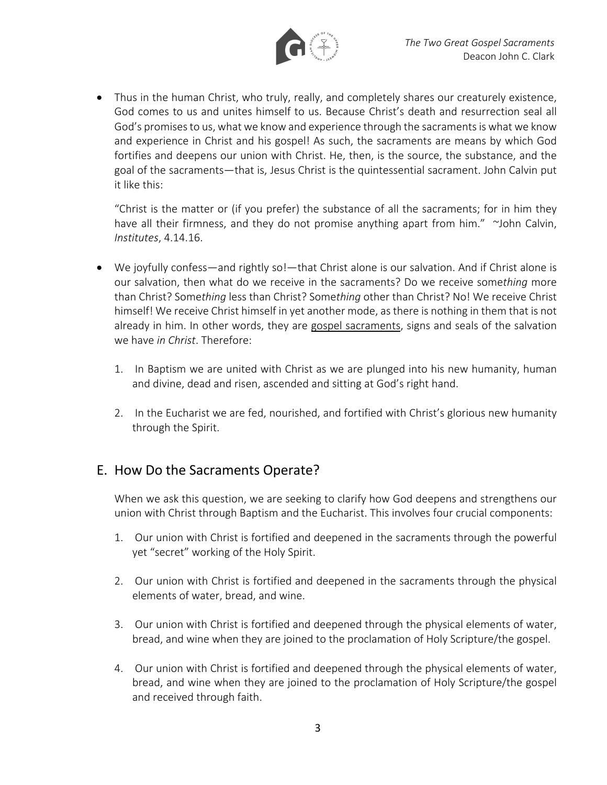

• Thus in the human Christ, who truly, really, and completely shares our creaturely existence, God comes to us and unites himself to us. Because Christ's death and resurrection seal all God's promises to us, what we know and experience through the sacraments is what we know and experience in Christ and his gospel! As such, the sacraments are means by which God fortifies and deepens our union with Christ. He, then, is the source, the substance, and the goal of the sacraments—that is, Jesus Christ is the quintessential sacrament. John Calvin put it like this:

"Christ is the matter or (if you prefer) the substance of all the sacraments; for in him they have all their firmness, and they do not promise anything apart from him." ~John Calvin, *Institutes*, 4.14.16.

- We joyfully confess—and rightly so!—that Christ alone is our salvation. And if Christ alone is our salvation, then what do we receive in the sacraments? Do we receive some*thing* more than Christ? Some*thing* less than Christ? Some*thing* other than Christ? No! We receive Christ himself! We receive Christ himself in yet another mode, as there is nothing in them that is not already in him. In other words, they are gospel sacraments, signs and seals of the salvation we have *in Christ*. Therefore:
	- 1. In Baptism we are united with Christ as we are plunged into his new humanity, human and divine, dead and risen, ascended and sitting at God's right hand.
	- 2. In the Eucharist we are fed, nourished, and fortified with Christ's glorious new humanity through the Spirit.

#### E. How Do the Sacraments Operate?

When we ask this question, we are seeking to clarify how God deepens and strengthens our union with Christ through Baptism and the Eucharist. This involves four crucial components:

- 1. Our union with Christ is fortified and deepened in the sacraments through the powerful yet "secret" working of the Holy Spirit.
- 2. Our union with Christ is fortified and deepened in the sacraments through the physical elements of water, bread, and wine.
- 3. Our union with Christ is fortified and deepened through the physical elements of water, bread, and wine when they are joined to the proclamation of Holy Scripture/the gospel.
- 4. Our union with Christ is fortified and deepened through the physical elements of water, bread, and wine when they are joined to the proclamation of Holy Scripture/the gospel and received through faith.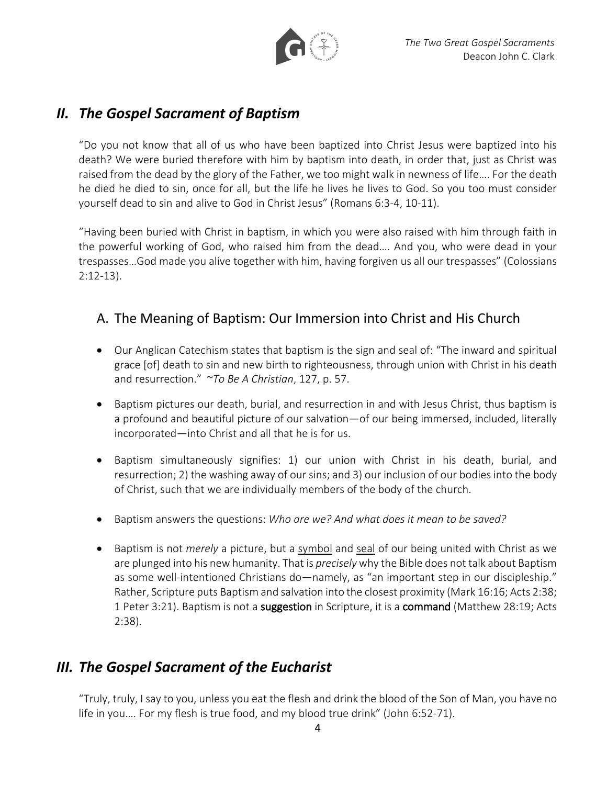

## *II. The Gospel Sacrament of Baptism*

"Do you not know that all of us who have been baptized into Christ Jesus were baptized into his death? We were buried therefore with him by baptism into death, in order that, just as Christ was raised from the dead by the glory of the Father, we too might walk in newness of life…. For the death he died he died to sin, once for all, but the life he lives he lives to God. So you too must consider yourself dead to sin and alive to God in Christ Jesus" (Romans 6:3-4, 10-11).

"Having been buried with Christ in baptism, in which you were also raised with him through faith in the powerful working of God, who raised him from the dead…. And you, who were dead in your trespasses…God made you alive together with him, having forgiven us all our trespasses" (Colossians 2:12-13).

## A. The Meaning of Baptism: Our Immersion into Christ and His Church

- Our Anglican Catechism states that baptism is the sign and seal of: "The inward and spiritual grace [of] death to sin and new birth to righteousness, through union with Christ in his death and resurrection." ~*To Be A Christian*, 127, p. 57.
- Baptism pictures our death, burial, and resurrection in and with Jesus Christ, thus baptism is a profound and beautiful picture of our salvation—of our being immersed, included, literally incorporated—into Christ and all that he is for us.
- Baptism simultaneously signifies: 1) our union with Christ in his death, burial, and resurrection; 2) the washing away of our sins; and 3) our inclusion of our bodies into the body of Christ, such that we are individually members of the body of the church.
- Baptism answers the questions: *Who are we? And what does it mean to be saved?*
- Baptism is not *merely* a picture, but a symbol and seal of our being united with Christ as we are plunged into his new humanity. That is *precisely* why the Bible does not talk about Baptism as some well-intentioned Christians do—namely, as "an important step in our discipleship." Rather, Scripture puts Baptism and salvation into the closest proximity (Mark 16:16; Acts 2:38; 1 Peter 3:21). Baptism is not a **suggestion** in Scripture, it is a **command** (Matthew 28:19; Acts 2:38).

# *III. The Gospel Sacrament of the Eucharist*

"Truly, truly, I say to you, unless you eat the flesh and drink the blood of the Son of Man, you have no life in you…. For my flesh is true food, and my blood true drink" (John 6:52-71).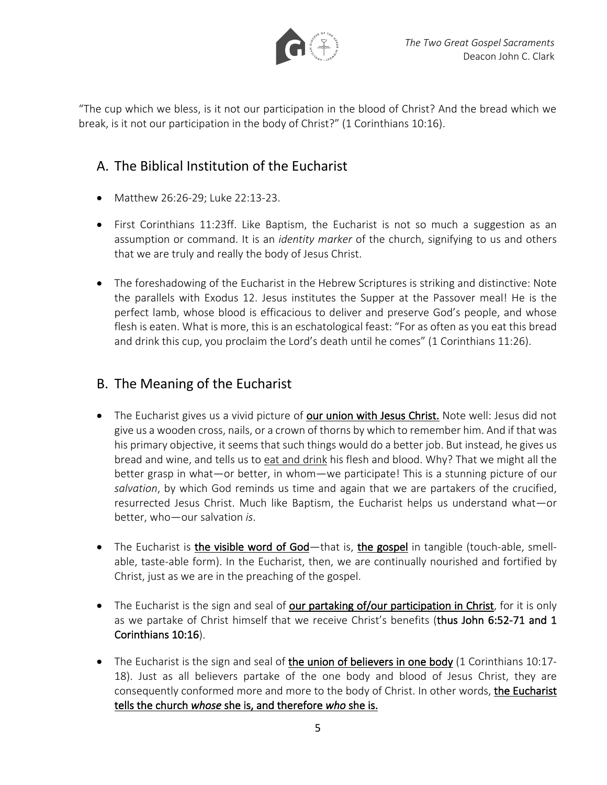

"The cup which we bless, is it not our participation in the blood of Christ? And the bread which we break, is it not our participation in the body of Christ?" (1 Corinthians 10:16).

#### A. The Biblical Institution of the Eucharist

- Matthew 26:26-29; Luke 22:13-23.
- First Corinthians 11:23ff. Like Baptism, the Eucharist is not so much a suggestion as an assumption or command. It is an *identity marker* of the church, signifying to us and others that we are truly and really the body of Jesus Christ.
- The foreshadowing of the Eucharist in the Hebrew Scriptures is striking and distinctive: Note the parallels with Exodus 12. Jesus institutes the Supper at the Passover meal! He is the perfect lamb, whose blood is efficacious to deliver and preserve God's people, and whose flesh is eaten. What is more, this is an eschatological feast: "For as often as you eat this bread and drink this cup, you proclaim the Lord's death until he comes" (1 Corinthians 11:26).

#### B. The Meaning of the Eucharist

- The Eucharist gives us a vivid picture of our union with Jesus Christ. Note well: Jesus did not give us a wooden cross, nails, or a crown of thorns by which to remember him. And if that was his primary objective, it seems that such things would do a better job. But instead, he gives us bread and wine, and tells us to eat and drink his flesh and blood. Why? That we might all the better grasp in what—or better, in whom—we participate! This is a stunning picture of our *salvation*, by which God reminds us time and again that we are partakers of the crucified, resurrected Jesus Christ. Much like Baptism, the Eucharist helps us understand what—or better, who—our salvation *is*.
- The Eucharist is *the visible word of God*—that is, *the gospel* in tangible (touch-able, smellable, taste-able form). In the Eucharist, then, we are continually nourished and fortified by Christ, just as we are in the preaching of the gospel.
- The Eucharist is the sign and seal of our partaking of/our participation in Christ, for it is only as we partake of Christ himself that we receive Christ's benefits (thus John 6:52-71 and 1 Corinthians 10:16).
- The Eucharist is the sign and seal of the union of believers in one body (1 Corinthians 10:17-18). Just as all believers partake of the one body and blood of Jesus Christ, they are consequently conformed more and more to the body of Christ. In other words, the Eucharist tells the church *whose* she is, and therefore *who* she is.